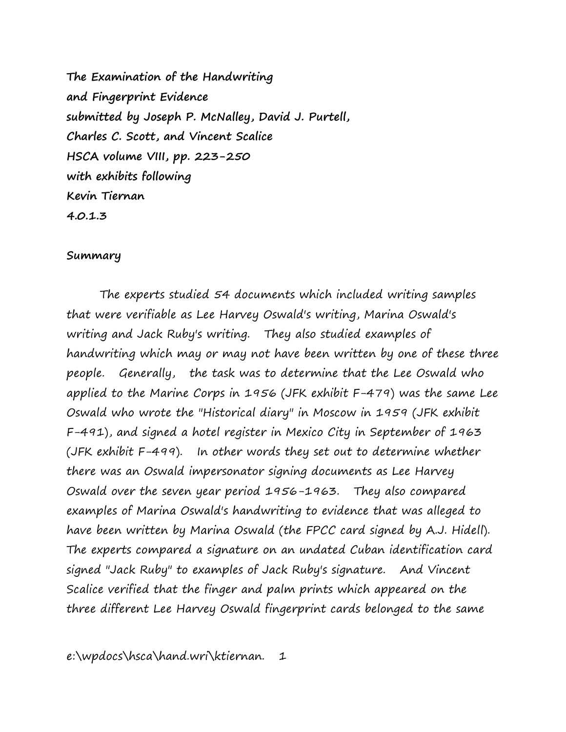**The Examination of the Handwriting and Fingerprint Evidence submitted by Joseph P. McNalley, David J. Purtell, Charles C. Scott, and Vincent Scalice HSCA volume VIII, pp. 223-250 with exhibits following Kevin Tiernan 4.0.1.3**

## **Summary**

The experts studied 54 documents which included writing samples that were verifiable as Lee Harvey Oswald's writing, Marina Oswald's writing and Jack Ruby's writing. They also studied examples of handwriting which may or may not have been written by one of these three people. Generally, the task was to determine that the Lee Oswald who applied to the Marine Corps in 1956 (JFK exhibit F-479) was the same Lee Oswald who wrote the "Historical diary" in Moscow in 1959 (JFK exhibit F-491), and signed a hotel register in Mexico City in September of 1963 (JFK exhibit F-499). In other words they set out to determine whether there was an Oswald impersonator signing documents as Lee Harvey Oswald over the seven year period 1956-1963. They also compared examples of Marina Oswald's handwriting to evidence that was alleged to have been written by Marina Oswald (the FPCC card signed by A.J. Hidell). The experts compared a signature on an undated Cuban identification card signed "Jack Ruby" to examples of Jack Ruby's signature. And Vincent Scalice verified that the finger and palm prints which appeared on the three different Lee Harvey Oswald fingerprint cards belonged to the same

e:\wpdocs\hsca\hand.wri\ktiernan. 1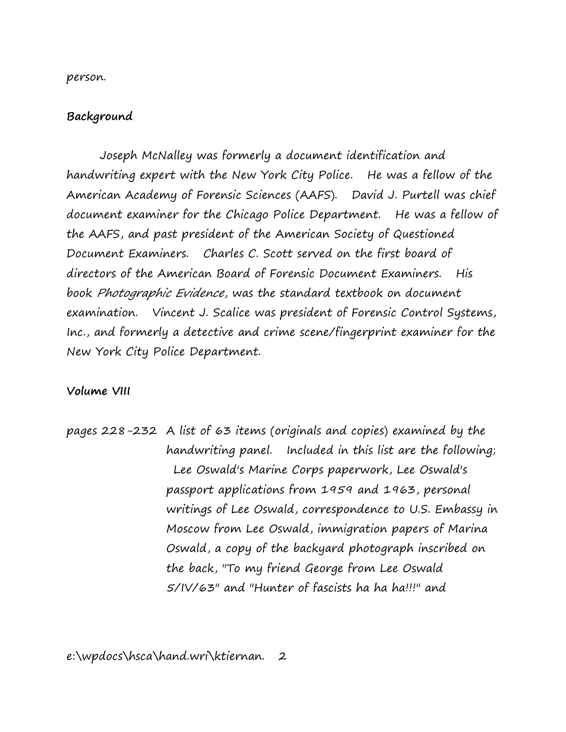person.

## **Background**

Joseph McNalley was formerly a document identification and handwriting expert with the New York City Police. He was a fellow of the American Academy of Forensic Sciences (AAFS). David J. Purtell was chief document examiner for the Chicago Police Department. He was a fellow of the AAFS, and past president of the American Society of Questioned Document Examiners. Charles C. Scott served on the first board of directors of the American Board of Forensic Document Examiners. His book Photographic Evidence, was the standard textbook on document examination. Vincent J. Scalice was president of Forensic Control Systems, Inc., and formerly a detective and crime scene/fingerprint examiner for the New York City Police Department.

## **Volume VIII**

pages 228-232 A list of 63 items (originals and copies) examined by the handwriting panel. Included in this list are the following; Lee Oswald's Marine Corps paperwork, Lee Oswald's passport applications from 1959 and 1963, personal writings of Lee Oswald, correspondence to U.S. Embassy in Moscow from Lee Oswald, immigration papers of Marina Oswald, a copy of the backyard photograph inscribed on the back, "To my friend George from Lee Oswald 5/IV/63" and "Hunter of fascists ha ha ha!!!" and

e:\wpdocs\hsca\hand.wri\ktiernan. 2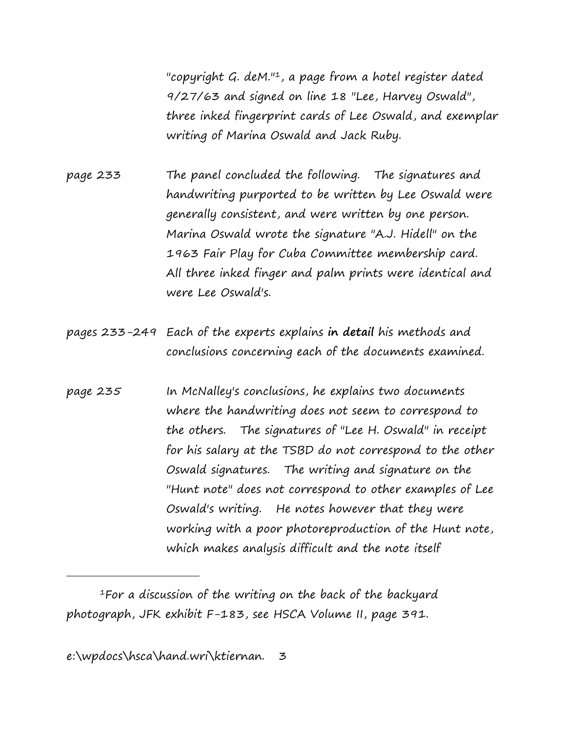"copyright G. deM."<sup>1</sup>, a page from a hotel register dated 9/27/63 and signed on line 18 "Lee, Harvey Oswald", three inked fingerprint cards of Lee Oswald, and exemplar writing of Marina Oswald and Jack Ruby.

page 233 The panel concluded the following. The signatures and handwriting purported to be written by Lee Oswald were generally consistent, and were written by one person. Marina Oswald wrote the signature "A.J. Hidell" on the 1963 Fair Play for Cuba Committee membership card. All three inked finger and palm prints were identical and were Lee Oswald's.

- pages 233-249 Each of the experts explains **in detail** his methods and conclusions concerning each of the documents examined.
- page 235 In McNalley's conclusions, he explains two documents where the handwriting does not seem to correspond to the others. The signatures of "Lee H. Oswald" in receipt for his salary at the TSBD do not correspond to the other Oswald signatures. The writing and signature on the "Hunt note" does not correspond to other examples of Lee Oswald's writing. He notes however that they were working with a poor photoreproduction of the Hunt note, which makes analysis difficult and the note itself

<sup>1</sup>For a discussion of the writing on the back of the backyard photograph, JFK exhibit F-183, see HSCA Volume II, page 391.

e:\wpdocs\hsca\hand.wri\ktiernan. 3

i<br>I